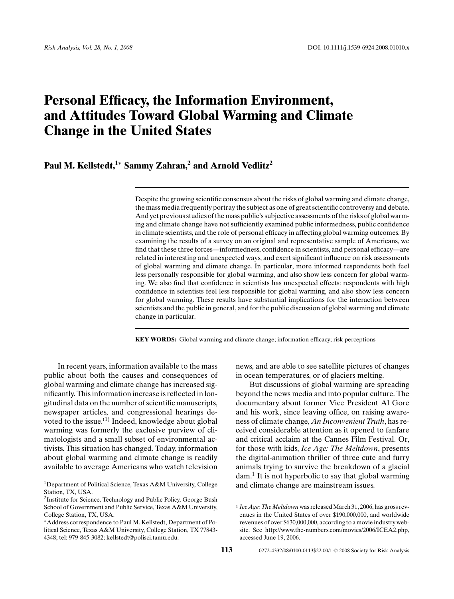# **Personal Efficacy, the Information Environment, and Attitudes Toward Global Warming and Climate Change in the United States**

**Paul M. Kellstedt,1***<sup>∗</sup>* **Sammy Zahran,2 and Arnold Vedlitz2**

Despite the growing scientific consensus about the risks of global warming and climate change, the mass media frequently portray the subject as one of great scientific controversy and debate. And yet previous studies of the mass public's subjective assessments of the risks of global warming and climate change have not sufficiently examined public informedness, public confidence in climate scientists, and the role of personal efficacy in affecting global warming outcomes. By examining the results of a survey on an original and representative sample of Americans, we find that these three forces—informedness, confidence in scientists, and personal efficacy—are related in interesting and unexpected ways, and exert significant influence on risk assessments of global warming and climate change. In particular, more informed respondents both feel less personally responsible for global warming, and also show less concern for global warming. We also find that confidence in scientists has unexpected effects: respondents with high confidence in scientists feel less responsible for global warming, and also show less concern for global warming. These results have substantial implications for the interaction between scientists and the public in general, and for the public discussion of global warming and climate change in particular.

**KEY WORDS:** Global warming and climate change; information efficacy; risk perceptions

In recent years, information available to the mass public about both the causes and consequences of global warming and climate change has increased significantly. This information increase is reflected in longitudinal data on the number of scientific manuscripts, newspaper articles, and congressional hearings devoted to the issue.<sup>(1)</sup> Indeed, knowledge about global warming was formerly the exclusive purview of climatologists and a small subset of environmental activists. This situation has changed. Today, information about global warming and climate change is readily available to average Americans who watch television

news, and are able to see satellite pictures of changes in ocean temperatures, or of glaciers melting.

But discussions of global warming are spreading beyond the news media and into popular culture. The documentary about former Vice President Al Gore and his work, since leaving office, on raising awareness of climate change, *An Inconvenient Truth*, has received considerable attention as it opened to fanfare and critical acclaim at the Cannes Film Festival. Or, for those with kids, *Ice Age: The Meltdown*, presents the digital-animation thriller of three cute and furry animals trying to survive the breakdown of a glacial dam.<sup>1</sup> It is not hyperbolic to say that global warming and climate change are mainstream issues.

<sup>1</sup>Department of Political Science, Texas A&M University, College Station, TX, USA.

<sup>&</sup>lt;sup>2</sup> Institute for Science, Technology and Public Policy, George Bush School of Government and Public Service, Texas A&M University, College Station, TX, USA.

<sup>∗</sup>Address correspondence to Paul M. Kellstedt, Department of Political Science, Texas A&M University, College Station, TX 77843- 4348; tel: 979-845-3082; kellstedt@polisci.tamu.edu.

<sup>1</sup> *Ice Age: The Meltdown* was released March 31, 2006, has gross revenues in the United States of over \$190,000,000, and worldwide revenues of over \$630,000,000, according to a movie industry website. See http://www.the-numbers.com/movies/2006/ICEA2.php, accessed June 19, 2006.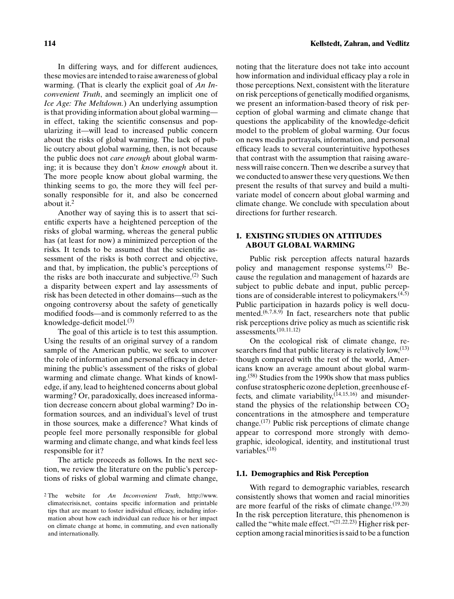In differing ways, and for different audiences, these movies are intended to raise awareness of global warming. (That is clearly the explicit goal of *An Inconvenient Truth*, and seemingly an implicit one of *Ice Age: The Meltdown.*) An underlying assumption is that providing information about global warming in effect, taking the scientific consensus and popularizing it—will lead to increased public concern about the risks of global warming. The lack of public outcry about global warming, then, is not because the public does not *care enough* about global warming; it is because they don't *know enough* about it. The more people know about global warming, the thinking seems to go, the more they will feel personally responsible for it, and also be concerned about it.<sup>2</sup>

Another way of saying this is to assert that scientific experts have a heightened perception of the risks of global warming, whereas the general public has (at least for now) a minimized perception of the risks. It tends to be assumed that the scientific assessment of the risks is both correct and objective, and that, by implication, the public's perceptions of the risks are both inaccurate and subjective.<sup> $(2)$ </sup> Such a disparity between expert and lay assessments of risk has been detected in other domains—such as the ongoing controversy about the safety of genetically modified foods—and is commonly referred to as the knowledge-deficit model. $^{(3)}$ 

The goal of this article is to test this assumption. Using the results of an original survey of a random sample of the American public, we seek to uncover the role of information and personal efficacy in determining the public's assessment of the risks of global warming and climate change. What kinds of knowledge, if any, lead to heightened concerns about global warming? Or, paradoxically, does increased information decrease concern about global warming? Do information sources, and an individual's level of trust in those sources, make a difference? What kinds of people feel more personally responsible for global warming and climate change, and what kinds feel less responsible for it?

The article proceeds as follows. In the next section, we review the literature on the public's perceptions of risks of global warming and climate change,

**114 Kellstedt, Zahran, and Vedlitz**

noting that the literature does not take into account how information and individual efficacy play a role in those perceptions. Next, consistent with the literature on risk perceptions of genetically modified organisms, we present an information-based theory of risk perception of global warming and climate change that questions the applicability of the knowledge-deficit model to the problem of global warming. Our focus on news media portrayals, information, and personal efficacy leads to several counterintuitive hypotheses that contrast with the assumption that raising awareness will raise concern. Then we describe a survey that we conducted to answer these very questions. We then present the results of that survey and build a multivariate model of concern about global warming and climate change. We conclude with speculation about directions for further research.

# **1. EXISTING STUDIES ON ATTITUDES ABOUT GLOBAL WARMING**

Public risk perception affects natural hazards policy and management response systems. $(2)$  Because the regulation and management of hazards are subject to public debate and input, public perceptions are of considerable interest to policymakers. $(4,5)$ Public participation in hazards policy is well documented.<sup> $(6,7,8,9)$ </sup> In fact, researchers note that public risk perceptions drive policy as much as scientific risk assessments.(10,11,12)

On the ecological risk of climate change, researchers find that public literacy is relatively  $low<sub>i</sub>(13)$ though compared with the rest of the world, Americans know an average amount about global warming.(58) Studies from the 1990s show that mass publics confuse stratospheric ozone depletion, greenhouse effects, and climate variability, $(I4,15,16)$  and misunderstand the physics of the relationship between  $CO<sub>2</sub>$ concentrations in the atmosphere and temperature change.<sup> $(17)$ </sup> Public risk perceptions of climate change appear to correspond more strongly with demographic, ideological, identity, and institutional trust variables. $(18)$ 

## **1.1. Demographics and Risk Perception**

With regard to demographic variables, research consistently shows that women and racial minorities are more fearful of the risks of climate change. $(19,20)$ In the risk perception literature, this phenomenon is called the "white male effect." $(21,22,23)$  Higher risk perception among racial minorities is said to be a function

<sup>2</sup> The website for *An Inconvenient Truth*, http://www. climatecrisis.net, contains specific information and printable tips that are meant to foster individual efficacy, including information about how each individual can reduce his or her impact on climate change at home, in commuting, and even nationally and internationally.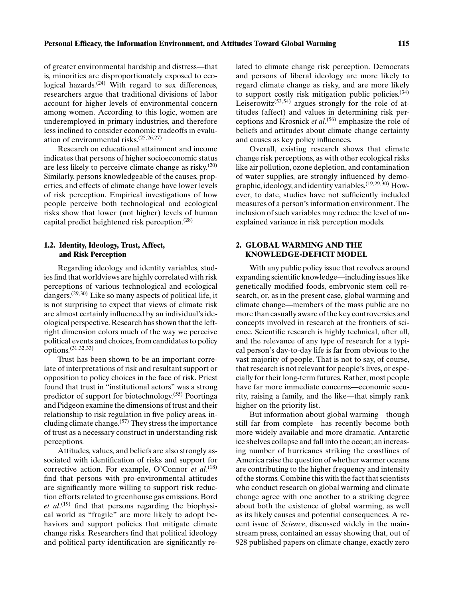of greater environmental hardship and distress—that is, minorities are disproportionately exposed to ecological hazards.<sup> $(24)$ </sup> With regard to sex differences, researchers argue that traditional divisions of labor account for higher levels of environmental concern among women. According to this logic, women are underemployed in primary industries, and therefore less inclined to consider economic tradeoffs in evaluation of environmental risks.(25,26,27)

Research on educational attainment and income indicates that persons of higher socioeconomic status are less likely to perceive climate change as risky.(20) Similarly, persons knowledgeable of the causes, properties, and effects of climate change have lower levels of risk perception. Empirical investigations of how people perceive both technological and ecological risks show that lower (not higher) levels of human capital predict heightened risk perception.(28)

## **1.2. Identity, Ideology, Trust, Affect, and Risk Perception**

Regarding ideology and identity variables, studies find that worldviews are highly correlated with risk perceptions of various technological and ecological dangers.(29,30) Like so many aspects of political life, it is not surprising to expect that views of climate risk are almost certainly influenced by an individual's ideological perspective. Research has shown that the leftright dimension colors much of the way we perceive political events and choices, from candidates to policy options.(31,32,33)

Trust has been shown to be an important correlate of interpretations of risk and resultant support or opposition to policy choices in the face of risk. Priest found that trust in "institutional actors" was a strong predictor of support for biotechnology.(55) Poortinga and Pidgeon examine the dimensions of trust and their relationship to risk regulation in five policy areas, including climate change.(57) They stress the importance of trust as a necessary construct in understanding risk perceptions.

Attitudes, values, and beliefs are also strongly associated with identification of risks and support for corrective action. For example, O'Connor *et al.*<sup>(18)</sup> find that persons with pro-environmental attitudes are significantly more willing to support risk reduction efforts related to greenhouse gas emissions. Bord *et al*. (19) find that persons regarding the biophysical world as "fragile" are more likely to adopt behaviors and support policies that mitigate climate change risks. Researchers find that political ideology and political party identification are significantly related to climate change risk perception. Democrats and persons of liberal ideology are more likely to regard climate change as risky, and are more likely to support costly risk mitigation public policies. $(34)$ Leiserowitz<sup> $(53,54)$ </sup> argues strongly for the role of attitudes (affect) and values in determining risk perceptions and Krosnick *et al*. (56) emphasize the role of beliefs and attitudes about climate change certainty and causes as key policy influences.

Overall, existing research shows that climate change risk perceptions, as with other ecological risks like air pollution, ozone depletion, and contamination of water supplies, are strongly influenced by demographic, ideology, and identity variables.  $^{(19,29,30)}$  However, to date, studies have not sufficiently included measures of a person's information environment. The inclusion of such variables may reduce the level of unexplained variance in risk perception models.

# **2. GLOBAL WARMING AND THE KNOWLEDGE-DEFICIT MODEL**

With any public policy issue that revolves around expanding scientific knowledge—including issues like genetically modified foods, embryonic stem cell research, or, as in the present case, global warming and climate change—members of the mass public are no more than casually aware of the key controversies and concepts involved in research at the frontiers of science. Scientific research is highly technical, after all, and the relevance of any type of research for a typical person's day-to-day life is far from obvious to the vast majority of people. That is not to say, of course, that research is not relevant for people's lives, or especially for their long-term futures. Rather, most people have far more immediate concerns—economic security, raising a family, and the like—that simply rank higher on the priority list.

But information about global warming—though still far from complete—has recently become both more widely available and more dramatic. Antarctic ice shelves collapse and fall into the ocean; an increasing number of hurricanes striking the coastlines of America raise the question of whether warmer oceans are contributing to the higher frequency and intensity of the storms. Combine this with the fact that scientists who conduct research on global warming and climate change agree with one another to a striking degree about both the existence of global warming, as well as its likely causes and potential consequences. A recent issue of *Science*, discussed widely in the mainstream press, contained an essay showing that, out of 928 published papers on climate change, exactly zero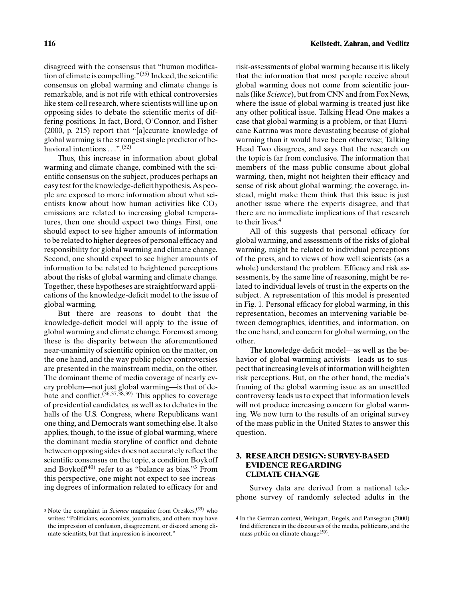disagreed with the consensus that "human modification of climate is compelling."(35) Indeed, the scientific consensus on global warming and climate change is remarkable, and is not rife with ethical controversies like stem-cell research, where scientists will line up on opposing sides to debate the scientific merits of differing positions. In fact, Bord, O'Connor, and Fisher (2000, p. 215) report that "[a]ccurate knowledge of global warming is the strongest single predictor of behavioral intentions...". (52)

Thus, this increase in information about global warming and climate change, combined with the scientific consensus on the subject, produces perhaps an easy test for the knowledge-deficit hypothesis. As people are exposed to more information about what scientists know about how human activities like  $CO<sub>2</sub>$ emissions are related to increasing global temperatures, then one should expect two things. First, one should expect to see higher amounts of information to be related to higher degrees of personal efficacy and responsibility for global warming and climate change. Second, one should expect to see higher amounts of information to be related to heightened perceptions about the risks of global warming and climate change. Together, these hypotheses are straightforward applications of the knowledge-deficit model to the issue of global warming.

But there are reasons to doubt that the knowledge-deficit model will apply to the issue of global warming and climate change. Foremost among these is the disparity between the aforementioned near-unanimity of scientific opinion on the matter, on the one hand, and the way public policy controversies are presented in the mainstream media, on the other. The dominant theme of media coverage of nearly every problem—not just global warming—is that of debate and conflict.<sup> $(36,37,\overline{3}8,39)$ </sup> This applies to coverage of presidential candidates, as well as to debates in the halls of the U.S. Congress, where Republicans want one thing, and Democrats want something else. It also applies, though, to the issue of global warming, where the dominant media storyline of conflict and debate between opposing sides does not accurately reflect the scientific consensus on the topic, a condition Boykoff and Boykoff<sup> $(40)$ </sup> refer to as "balance as bias."<sup>3</sup> From this perspective, one might not expect to see increasing degrees of information related to efficacy for and

risk-assessments of global warming because it is likely that the information that most people receive about global warming does not come from scientific journals (like *Science*), but from CNN and from Fox News, where the issue of global warming is treated just like any other political issue. Talking Head One makes a case that global warming is a problem, or that Hurricane Katrina was more devastating because of global warming than it would have been otherwise; Talking Head Two disagrees, and says that the research on the topic is far from conclusive. The information that members of the mass public consume about global warming, then, might not heighten their efficacy and sense of risk about global warming; the coverage, instead, might make them think that this issue is just another issue where the experts disagree, and that there are no immediate implications of that research to their lives.<sup>4</sup>

All of this suggests that personal efficacy for global warming, and assessments of the risks of global warming, might be related to individual perceptions of the press, and to views of how well scientists (as a whole) understand the problem. Efficacy and risk assessments, by the same line of reasoning, might be related to individual levels of trust in the experts on the subject. A representation of this model is presented in Fig. 1. Personal efficacy for global warming, in this representation, becomes an intervening variable between demographics, identities, and information, on the one hand, and concern for global warming, on the other.

The knowledge-deficit model—as well as the behavior of global-warming activists—leads us to suspect that increasing levels of information will heighten risk perceptions. But, on the other hand, the media's framing of the global warming issue as an unsettled controversy leads us to expect that information levels will not produce increasing concern for global warming. We now turn to the results of an original survey of the mass public in the United States to answer this question.

# **3. RESEARCH DESIGN: SURVEY-BASED EVIDENCE REGARDING CLIMATE CHANGE**

Survey data are derived from a national telephone survey of randomly selected adults in the

<sup>3</sup> Note the complaint in *Science* magazine from Oreskes,(35) who writes: "Politicians, economists, journalists, and others may have the impression of confusion, disagreement, or discord among climate scientists, but that impression is incorrect."

<sup>4</sup> In the German context, Weingart, Engels, and Pansegrau (2000) find differences in the discourses of the media, politicians, and the mass public on climate change<sup>(59)</sup>.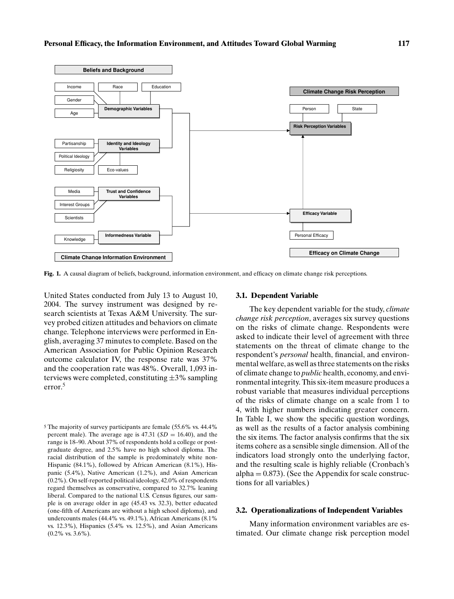

**Fig. 1.** A causal diagram of beliefs, background, information environment, and efficacy on climate change risk perceptions.

United States conducted from July 13 to August 10, 2004. The survey instrument was designed by research scientists at Texas A&M University. The survey probed citizen attitudes and behaviors on climate change. Telephone interviews were performed in English, averaging 37 minutes to complete. Based on the American Association for Public Opinion Research outcome calculator IV, the response rate was 37% and the cooperation rate was 48%. Overall, 1,093 interviews were completed, constituting  $\pm 3\%$  sampling error.<sup>5</sup>

## **3.1. Dependent Variable**

The key dependent variable for the study, *climate change risk perception*, averages six survey questions on the risks of climate change. Respondents were asked to indicate their level of agreement with three statements on the threat of climate change to the respondent's *personal* health, financial, and environmental welfare, as well as three statements on the risks of climate change to *public* health, economy, and environmental integrity. This six-item measure produces a robust variable that measures individual perceptions of the risks of climate change on a scale from 1 to 4, with higher numbers indicating greater concern. In Table I, we show the specific question wordings, as well as the results of a factor analysis combining the six items. The factor analysis confirms that the six items cohere as a sensible single dimension. All of the indicators load strongly onto the underlying factor, and the resulting scale is highly reliable (Cronbach's  $alpha = 0.873$ ). (See the Appendix for scale constructions for all variables.)

## **3.2. Operationalizations of Independent Variables**

Many information environment variables are estimated. Our climate change risk perception model

<sup>5</sup> The majority of survey participants are female (55.6% vs. 44.4% percent male). The average age is  $47.31$  ( $SD = 16.40$ ), and the range is 18–90. About 37% of respondents hold a college or postgraduate degree, and 2.5% have no high school diploma. The racial distribution of the sample is predominately white non-Hispanic (84.1%), followed by African American (8.1%), Hispanic (5.4%), Native American (1.2%), and Asian American (0.2%). On self-reported political ideology, 42.0% of respondents regard themselves as conservative, compared to 32.7% leaning liberal. Compared to the national U.S. Census figures, our sample is on average older in age (45.43 vs. 32.3), better educated (one-fifth of Americans are without a high school diploma), and undercounts males (44.4% vs. 49.1%), African Americans (8.1% vs. 12.3%), Hispanics (5.4% vs. 12.5%), and Asian Americans (0.2% vs. 3.6%).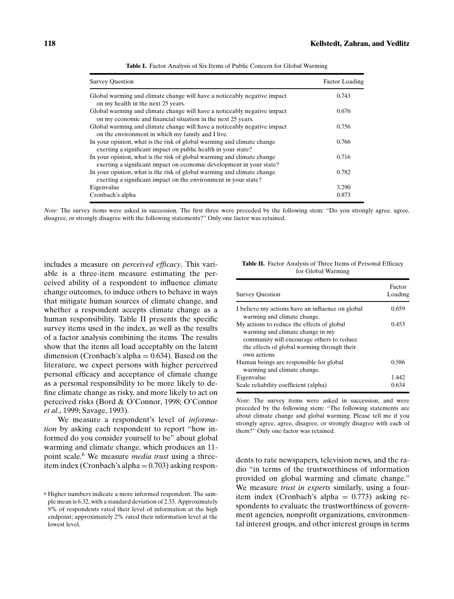| <b>Survey Question</b>                                                                                                                         | Factor Loading |
|------------------------------------------------------------------------------------------------------------------------------------------------|----------------|
| Global warming and climate change will have a noticeably negative impact<br>on my health in the next 25 years.                                 | 0.743          |
| Global warming and climate change will have a noticeably negative impact<br>on my economic and financial situation in the next 25 years.       | 0.676          |
| Global warming and climate change will have a noticeably negative impact<br>on the environment in which my family and I live.                  | 0.756          |
| In your opinion, what is the risk of global warming and climate change<br>exerting a significant impact on public health in your state?        | 0.766          |
| In your opinion, what is the risk of global warming and climate change<br>exerting a significant impact on economic development in your state? | 0.716          |
| In your opinion, what is the risk of global warming and climate change<br>exerting a significant impact on the environment in your state?      | 0.782          |
| Eigenvalue                                                                                                                                     | 3.290          |
| Cronbach's alpha                                                                                                                               | 0.873          |

**Table I.** Factor Analysis of Six Items of Public Concern for Global Warming

*Note*: The survey items were asked in succession. The first three were preceded by the following stem: "Do you strongly agree, agree, disagree, or strongly disagree with the following statements?" Only one factor was retained.

includes a measure on *perceived efficacy*. This variable is a three-item measure estimating the perceived ability of a respondent to influence climate change outcomes, to induce others to behave in ways that mitigate human sources of climate change, and whether a respondent accepts climate change as a human responsibility. Table II presents the specific survey items used in the index, as well as the results of a factor analysis combining the items. The results show that the items all load acceptably on the latent dimension (Cronbach's alpha  $= 0.634$ ). Based on the literature, we expect persons with higher perceived personal efficacy and acceptance of climate change as a personal responsibility to be more likely to define climate change as risky, and more likely to act on perceived risks (Bord & O'Connor, 1998; O'Connor *et al*., 1999; Savage, 1993).

We measure a respondent's level of *information* by asking each respondent to report "how informed do you consider yourself to be" about global warming and climate change, which produces an 11 point scale.<sup>6</sup> We measure *media trust* using a threeitem index (Cronbach's alpha  $= 0.703$ ) asking respon-

#### **Table II.** Factor Analysis of Three Items of Personal Efficacy for Global Warming

| <b>Survey Ouestion</b>                                                                                                                                                                     | Factor<br>Loading |
|--------------------------------------------------------------------------------------------------------------------------------------------------------------------------------------------|-------------------|
| I believe my actions have an influence on global<br>warming and climate change.                                                                                                            | 0.659             |
| My actions to reduce the effects of global<br>warming and climate change in my<br>community will encourage others to reduce<br>the effects of global warming through their<br>own actions. | 0.453             |
| Human beings are responsible for global<br>warming and climate change.                                                                                                                     | 0.586             |
| Eigenvalue                                                                                                                                                                                 | 1.442             |
| Scale reliability coefficient (alpha)                                                                                                                                                      | 0.634             |

*Note*: The survey items were asked in succession, and were preceded by the following stem: "The following statements are about climate change and global warming. Please tell me if you strongly agree, agree, disagree, or strongly disagree with each of them?" Only one factor was retained.

dents to rate newspapers, television news, and the radio "in terms of the trustworthiness of information provided on global warming and climate change." We measure *trust in experts* similarly, using a fouritem index (Cronbach's alpha  $= 0.773$ ) asking respondents to evaluate the trustworthiness of government agencies, nonprofit organizations, environmental interest groups, and other interest groups in terms

<sup>6</sup> Higher numbers indicate a more informed respondent. The sample mean is 6.32, with a standard deviation of 2.33. Approximately 9% of respondents rated their level of information at the high endpoint; approximately 2% rated their information level at the lowest level.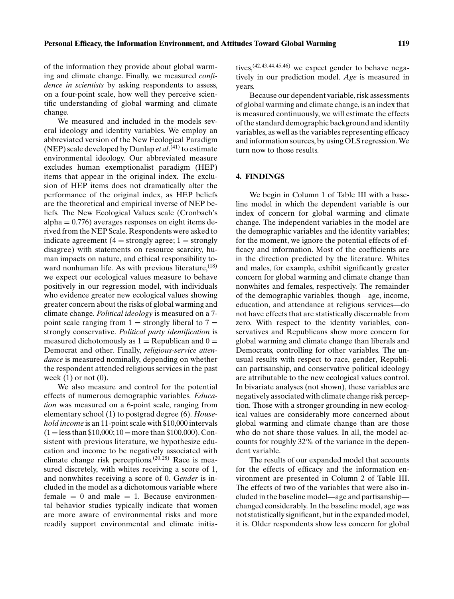of the information they provide about global warming and climate change. Finally, we measured *confidence in scientists* by asking respondents to assess, on a four-point scale, how well they perceive scientific understanding of global warming and climate change.

We measured and included in the models several ideology and identity variables. We employ an abbreviated version of the New Ecological Paradigm (NEP) scale developed by Dunlap *et al*. (41) to estimate environmental ideology. Our abbreviated measure excludes human exemptionalist paradigm (HEP) items that appear in the original index. The exclusion of HEP items does not dramatically alter the performance of the original index, as HEP beliefs are the theoretical and empirical inverse of NEP beliefs. The New Ecological Values scale (Cronbach's  $alpha = 0.776$ ) averages responses on eight items derived from the NEP Scale. Respondents were asked to indicate agreement  $(4 =$  strongly agree;  $1 =$  strongly disagree) with statements on resource scarcity, human impacts on nature, and ethical responsibility toward nonhuman life. As with previous literature,  $(18)$ we expect our ecological values measure to behave positively in our regression model, with individuals who evidence greater new ecological values showing greater concern about the risks of global warming and climate change. *Political ideology* is measured on a 7 point scale ranging from  $1 =$  strongly liberal to  $7 =$ strongly conservative. *Political party identification* is measured dichotomously as  $1 = Republican$  and  $0 =$ Democrat and other. Finally, *religious-service attendance* is measured nominally, depending on whether the respondent attended religious services in the past week  $(1)$  or not  $(0)$ .

We also measure and control for the potential effects of numerous demographic variables. *Education* was measured on a 6-point scale, ranging from elementary school (1) to postgrad degree (6). *Household income* is an 11-point scale with \$10,000 intervals  $(1 =$  less than \$10,000; 10 = more than \$100,000). Consistent with previous literature, we hypothesize education and income to be negatively associated with climate change risk perceptions.<sup> $(20,28)$ </sup> Race is measured discretely, with whites receiving a score of 1, and nonwhites receiving a score of 0. G*ender* is included in the model as a dichotomous variable where female = 0 and male = 1. Because environmental behavior studies typically indicate that women are more aware of environmental risks and more readily support environmental and climate initiatives,  $(42, 43, 44, 45, 46)$  we expect gender to behave negatively in our prediction model. *Age* is measured in years.

Because our dependent variable, risk assessments of global warming and climate change, is an index that is measured continuously, we will estimate the effects of the standard demographic background and identity variables, as well as the variables representing efficacy and information sources, by using OLS regression. We turn now to those results.

# **4. FINDINGS**

We begin in Column 1 of Table III with a baseline model in which the dependent variable is our index of concern for global warming and climate change. The independent variables in the model are the demographic variables and the identity variables; for the moment, we ignore the potential effects of efficacy and information. Most of the coefficients are in the direction predicted by the literature. Whites and males, for example, exhibit significantly greater concern for global warming and climate change than nonwhites and females, respectively. The remainder of the demographic variables, though—age, income, education, and attendance at religious services—do not have effects that are statistically discernable from zero. With respect to the identity variables, conservatives and Republicans show more concern for global warming and climate change than liberals and Democrats, controlling for other variables. The unusual results with respect to race, gender, Republican partisanship, and conservative political ideology are attributable to the new ecological values control. In bivariate analyses (not shown), these variables are negatively associated with climate change risk perception. Those with a stronger grounding in new ecological values are considerably more concerned about global warming and climate change than are those who do not share those values. In all, the model accounts for roughly 32% of the variance in the dependent variable.

The results of our expanded model that accounts for the effects of efficacy and the information environment are presented in Column 2 of Table III. The effects of two of the variables that were also included in the baseline model—age and partisanship changed considerably. In the baseline model, age was not statistically significant, but in the expanded model, it is. Older respondents show less concern for global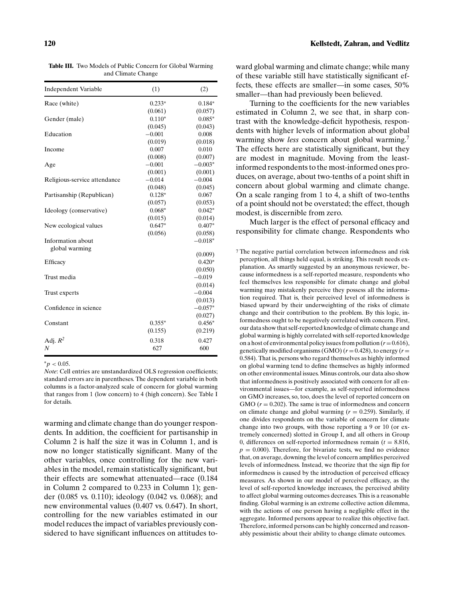| Table III. Two Models of Public Concern for Global Warming |  |
|------------------------------------------------------------|--|
| and Climate Change                                         |  |

| <b>Independent Variable</b>  | (1)      | (2)       |
|------------------------------|----------|-----------|
| Race (white)                 | $0.233*$ | $0.184*$  |
|                              | (0.061)  | (0.057)   |
| Gender (male)                | $0.110*$ | $0.085*$  |
|                              | (0.045)  | (0.043)   |
| Education                    | $-0.001$ | 0.008     |
|                              | (0.019)  | (0.018)   |
| Income                       | 0.007    | 0.010     |
|                              | (0.008)  | (0.007)   |
| Age                          | $-0.001$ | $-0.003*$ |
|                              | (0.001)  | (0.001)   |
| Religious-service attendance | $-0.014$ | $-0.004$  |
|                              | (0.048)  | (0.045)   |
| Partisanship (Republican)    | $0.128*$ | 0.067     |
|                              | (0.057)  | (0.053)   |
| Ideology (conservative)      | $0.068*$ | $0.042*$  |
|                              | (0.015)  | (0.014)   |
| New ecological values        | $0.647*$ | $0.407*$  |
|                              | (0.056)  | (0.058)   |
| Information about            |          | $-0.018*$ |
| global warming               |          |           |
|                              |          | (0.009)   |
| Efficacy                     |          | $0.420*$  |
|                              |          | (0.050)   |
| Trust media                  |          | $-0.019$  |
|                              |          | (0.014)   |
| Trust experts                |          | $-0.004$  |
|                              |          | (0.013)   |
| Confidence in science        |          | $-0.057*$ |
|                              |          | (0.027)   |
| Constant                     | $0.355*$ | $0.456*$  |
|                              | (0.155)  | (0.219)   |
| Adj. $R^2$                   | 0.318    | 0.427     |
| N                            | 627      | 600       |
|                              |          |           |

 $* p < 0.05$ .

*Note*: Cell entries are unstandardized OLS regression coefficients; standard errors are in parentheses. The dependent variable in both columns is a factor-analyzed scale of concern for global warming that ranges from 1 (low concern) to 4 (high concern). See Table I for details.

warming and climate change than do younger respondents. In addition, the coefficient for partisanship in Column 2 is half the size it was in Column 1, and is now no longer statistically significant. Many of the other variables, once controlling for the new variables in the model, remain statistically significant, but their effects are somewhat attenuated—race (0.184 in Column 2 compared to 0.233 in Column 1); gender (0.085 vs. 0.110); ideology (0.042 vs. 0.068); and new environmental values (0.407 vs. 0.647). In short, controlling for the new variables estimated in our model reduces the impact of variables previously considered to have significant influences on attitudes toward global warming and climate change; while many of these variable still have statistically significant effects, these effects are smaller—in some cases, 50% smaller—than had previously been believed.

Turning to the coefficients for the new variables estimated in Column 2, we see that, in sharp contrast with the knowledge-deficit hypothesis, respondents with higher levels of information about global warming show *less* concern about global warming.<sup>7</sup> The effects here are statistically significant, but they are modest in magnitude. Moving from the leastinformed respondents to the most-informed ones produces, on average, about two-tenths of a point shift in concern about global warming and climate change. On a scale ranging from 1 to 4, a shift of two-tenths of a point should not be overstated; the effect, though modest, is discernible from zero.

Much larger is the effect of personal efficacy and responsibility for climate change. Respondents who

7 The negative partial correlation between informedness and risk perception, all things held equal, is striking. This result needs explanation. As smartly suggested by an anonymous reviewer, because informedness is a self-reported measure, respondents who feel themselves less responsible for climate change and global warming may mistakenly perceive they possess all the information required. That is, their perceived level of informedness is biased upward by their underweighting of the risks of climate change and their contribution to the problem. By this logic, informedness ought to be negatively correlated with concern. First, our data show that self-reported knowledge of climate change and global warming is highly correlated with self-reported knowledge on a host of environmental policy issues from pollution  $(r=0.616)$ , genetically modified organisms (GMO)  $(r = 0.428)$ , to energy  $(r =$ 0.584). That is, persons who regard themselves as highly informed on global warming tend to define themselves as highly informed on other environmental issues. Minus controls, our data also show that informedness is positively associated with concern for all environmental issues—for example, as self-reported informedness on GMO increases, so, too, does the level of reported concern on GMO  $(r = 0.202)$ . The same is true of informedness and concern on climate change and global warming  $(r = 0.259)$ . Similarly, if one divides respondents on the variable of concern for climate change into two groups, with those reporting a 9 or 10 (or extremely concerned) slotted in Group I, and all others in Group 0, differences on self-reported informedness remain  $(t = 8.816,$  $p = 0.000$ . Therefore, for bivariate tests, we find no evidence that, on average, downing the level of concern amplifies perceived levels of informedness. Instead, we theorize that the sign flip for informedness is caused by the introduction of perceived efficacy measures. As shown in our model of perceived efficacy, as the level of self-reported knowledge increases, the perceived ability to affect global warming outcomes decreases. This is a reasonable finding. Global warming is an extreme collective action dilemma, with the actions of one person having a negligible effect in the aggregate. Informed persons appear to realize this objective fact. Therefore, informed persons can be highly concerned and reasonably pessimistic about their ability to change climate outcomes.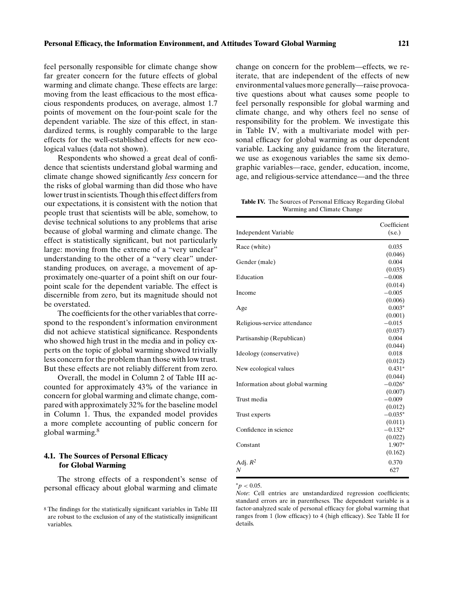feel personally responsible for climate change show far greater concern for the future effects of global warming and climate change. These effects are large: moving from the least efficacious to the most efficacious respondents produces, on average, almost 1.7 points of movement on the four-point scale for the dependent variable. The size of this effect, in standardized terms, is roughly comparable to the large effects for the well-established effects for new ecological values (data not shown).

Respondents who showed a great deal of confidence that scientists understand global warming and climate change showed significantly *less* concern for the risks of global warming than did those who have lower trust in scientists. Though this effect differs from our expectations, it is consistent with the notion that people trust that scientists will be able, somehow, to devise technical solutions to any problems that arise because of global warming and climate change. The effect is statistically significant, but not particularly large: moving from the extreme of a "very unclear" understanding to the other of a "very clear" understanding produces, on average, a movement of approximately one-quarter of a point shift on our fourpoint scale for the dependent variable. The effect is discernible from zero, but its magnitude should not be overstated.

The coefficients for the other variables that correspond to the respondent's information environment did not achieve statistical significance. Respondents who showed high trust in the media and in policy experts on the topic of global warming showed trivially less concern for the problem than those with low trust. But these effects are not reliably different from zero.

Overall, the model in Column 2 of Table III accounted for approximately 43% of the variance in concern for global warming and climate change, compared with approximately 32% for the baseline model in Column 1. Thus, the expanded model provides a more complete accounting of public concern for global warming.<sup>8</sup>

# **4.1. The Sources of Personal Efficacy for Global Warming**

The strong effects of a respondent's sense of personal efficacy about global warming and climate change on concern for the problem—effects, we reiterate, that are independent of the effects of new environmental values more generally—raise provocative questions about what causes some people to feel personally responsible for global warming and climate change, and why others feel no sense of responsibility for the problem. We investigate this in Table IV, with a multivariate model with personal efficacy for global warming as our dependent variable. Lacking any guidance from the literature, we use as exogenous variables the same six demographic variables—race, gender, education, income, age, and religious-service attendance—and the three

**Table IV.** The Sources of Personal Efficacy Regarding Global Warming and Climate Change

| <b>Independent Variable</b>      | Coefficient<br>(s.e.) |
|----------------------------------|-----------------------|
| Race (white)                     | 0.035                 |
|                                  | (0.046)               |
| Gender (male)                    | 0.004                 |
|                                  | (0.035)               |
| Education                        | $-0.008$              |
|                                  | (0.014)               |
| Income                           | $-0.005$              |
|                                  | (0.006)               |
| Age                              | $0.003*$              |
|                                  | (0.001)               |
| Religious-service attendance     | $-0.015$              |
|                                  | (0.037)               |
| Partisanship (Republican)        | 0.004                 |
|                                  | (0.044)<br>0.018      |
| Ideology (conservative)          | (0.012)               |
| New ecological values            | $0.431*$              |
|                                  | (0.044)               |
| Information about global warming | $-0.026*$             |
|                                  | (0.007)               |
| Trust media                      | $-0.009$              |
|                                  | (0.012)               |
| Trust experts                    | $-0.035*$             |
|                                  | (0.011)               |
| Confidence in science            | $-0.132*$             |
|                                  | (0.022)               |
| Constant                         | 1.907*                |
|                                  | (0.162)               |
| Adj. $R^2$                       | 0.370                 |
| N                                | 627                   |
|                                  |                       |

 $*_{p}$  < 0.05.

<sup>8</sup> The findings for the statistically significant variables in Table III are robust to the exclusion of any of the statistically insignificant variables.

*Note*: Cell entries are unstandardized regression coefficients; standard errors are in parentheses. The dependent variable is a factor-analyzed scale of personal efficacy for global warming that ranges from 1 (low efficacy) to 4 (high efficacy). See Table II for details.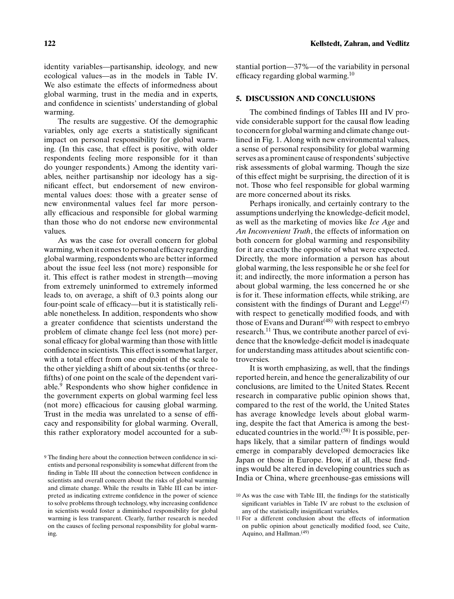identity variables—partisanship, ideology, and new ecological values—as in the models in Table IV. We also estimate the effects of informedness about global warming, trust in the media and in experts, and confidence in scientists' understanding of global warming.

The results are suggestive. Of the demographic variables, only age exerts a statistically significant impact on personal responsibility for global warming. (In this case, that effect is positive, with older respondents feeling more responsible for it than do younger respondents.) Among the identity variables, neither partisanship nor ideology has a significant effect, but endorsement of new environmental values does: those with a greater sense of new environmental values feel far more personally efficacious and responsible for global warming than those who do not endorse new environmental values.

As was the case for overall concern for global warming, when it comes to personal efficacy regarding global warming, respondents who are better informed about the issue feel less (not more) responsible for it. This effect is rather modest in strength—moving from extremely uninformed to extremely informed leads to, on average, a shift of 0.3 points along our four-point scale of efficacy—but it is statistically reliable nonetheless. In addition, respondents who show a greater confidence that scientists understand the problem of climate change feel less (not more) personal efficacy for global warming than those with little confidence in scientists. This effect is somewhat larger, with a total effect from one endpoint of the scale to the other yielding a shift of about six-tenths (or threefifths) of one point on the scale of the dependent variable.<sup>9</sup> Respondents who show higher confidence in the government experts on global warming feel less (not more) efficacious for causing global warming. Trust in the media was unrelated to a sense of efficacy and responsibility for global warming. Overall, this rather exploratory model accounted for a substantial portion—37%—of the variability in personal efficacy regarding global warming.<sup>10</sup>

## **5. DISCUSSION AND CONCLUSIONS**

The combined findings of Tables III and IV provide considerable support for the causal flow leading to concern for global warming and climate change outlined in Fig. 1. Along with new environmental values, a sense of personal responsibility for global warming serves as a prominent cause of respondents'subjective risk assessments of global warming. Though the size of this effect might be surprising, the direction of it is not. Those who feel responsible for global warming are more concerned about its risks.

Perhaps ironically, and certainly contrary to the assumptions underlying the knowledge-deficit model, as well as the marketing of movies like *Ice Age* and *An Inconvenient Truth*, the effects of information on both concern for global warming and responsibility for it are exactly the opposite of what were expected. Directly, the more information a person has about global warming, the less responsible he or she feel for it; and indirectly, the more information a person has about global warming, the less concerned he or she is for it. These information effects, while striking, are consistent with the findings of Durant and  $Legge^{(47)}$ with respect to genetically modified foods, and with those of Evans and Durant<sup> $(48)$ </sup> with respect to embryo research.<sup>11</sup> Thus, we contribute another parcel of evidence that the knowledge-deficit model is inadequate for understanding mass attitudes about scientific controversies.

It is worth emphasizing, as well, that the findings reported herein, and hence the generalizability of our conclusions, are limited to the United States. Recent research in comparative public opinion shows that, compared to the rest of the world, the United States has average knowledge levels about global warming, despite the fact that America is among the besteducated countries in the world.<sup>(58)</sup> It is possible, perhaps likely, that a similar pattern of findings would emerge in comparably developed democracies like Japan or those in Europe. How, if at all, these findings would be altered in developing countries such as India or China, where greenhouse-gas emissions will

<sup>9</sup> The finding here about the connection between confidence in scientists and personal responsibility is somewhat different from the finding in Table III about the connection between confidence in scientists and overall concern about the risks of global warming and climate change. While the results in Table III can be interpreted as indicating extreme confidence in the power of science to solve problems through technology, why increasing confidence in scientists would foster a diminished responsibility for global warming is less transparent. Clearly, further research is needed on the causes of feeling personal responsibility for global warming.

<sup>10</sup> As was the case with Table III, the findings for the statistically significant variables in Table IV are robust to the exclusion of any of the statistically insignificant variables.

<sup>11</sup> For a different conclusion about the effects of information on public opinion about genetically modified food, see Cuite, Aquino, and Hallman.(49)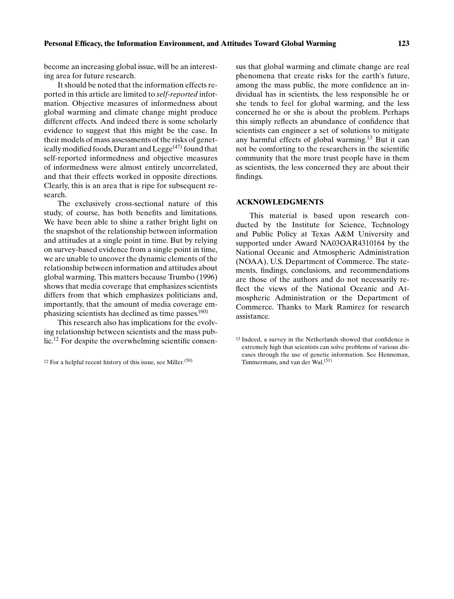become an increasing global issue, will be an interesting area for future research.

It should be noted that the information effects reported in this article are limited to *self-reported* information. Objective measures of informedness about global warming and climate change might produce different effects. And indeed there is some scholarly evidence to suggest that this might be the case. In their models of mass assessments of the risks of genetically modified foods, Durant and  $Legge^{(47)}$  found that self-reported informedness and objective measures of informedness were almost entirely uncorrelated, and that their effects worked in opposite directions. Clearly, this is an area that is ripe for subsequent research.

The exclusively cross-sectional nature of this study, of course, has both benefits and limitations. We have been able to shine a rather bright light on the snapshot of the relationship between information and attitudes at a single point in time. But by relying on survey-based evidence from a single point in time, we are unable to uncover the dynamic elements of the relationship between information and attitudes about global warming. This matters because Trumbo (1996) shows that media coverage that emphasizes scientists differs from that which emphasizes politicians and, importantly, that the amount of media coverage emphasizing scientists has declined as time passes.(60)

This research also has implications for the evolving relationship between scientists and the mass public.12 For despite the overwhelming scientific consensus that global warming and climate change are real phenomena that create risks for the earth's future, among the mass public, the more confidence an individual has in scientists, the less responsible he or she tends to feel for global warming, and the less concerned he or she is about the problem. Perhaps this simply reflects an abundance of confidence that scientists can engineer a set of solutions to mitigate any harmful effects of global warming.<sup>13</sup> But it can not be comforting to the researchers in the scientific community that the more trust people have in them as scientists, the less concerned they are about their findings.

## **ACKNOWLEDGMENTS**

This material is based upon research conducted by the Institute for Science, Technology and Public Policy at Texas A&M University and supported under Award NA03OAR4310164 by the National Oceanic and Atmospheric Administration (NOAA), U.S. Department of Commerce. The statements, findings, conclusions, and recommendations are those of the authors and do not necessarily reflect the views of the National Oceanic and Atmospheric Administration or the Department of Commerce. Thanks to Mark Ramirez for research assistance.

<sup>&</sup>lt;sup>12</sup> For a helpful recent history of this issue, see Miller.<sup> $(50)$ </sup>

<sup>13</sup> Indeed, a survey in the Netherlands showed that confidence is extremely high that scientists can solve problems of various diseases through the use of genetic information. See Henneman, Timmermans, and van der Wal.(51)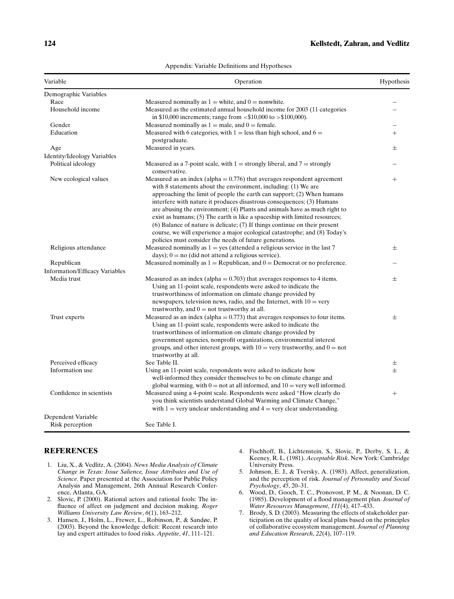| Variable                              | Operation                                                                                                                                                                                                                                                                                                                                                                                                                                                                                                                                                                                                                                                                               | Hypothesis |
|---------------------------------------|-----------------------------------------------------------------------------------------------------------------------------------------------------------------------------------------------------------------------------------------------------------------------------------------------------------------------------------------------------------------------------------------------------------------------------------------------------------------------------------------------------------------------------------------------------------------------------------------------------------------------------------------------------------------------------------------|------------|
| Demographic Variables                 |                                                                                                                                                                                                                                                                                                                                                                                                                                                                                                                                                                                                                                                                                         |            |
| Race                                  | Measured nominally as $1 =$ white, and $0 =$ nonwhite.                                                                                                                                                                                                                                                                                                                                                                                                                                                                                                                                                                                                                                  |            |
| Household income                      | Measured as the estimated annual household income for 2003 (11 categories<br>in \$10,000 increments; range from $\langle $10,000 \text{ to } $100,000 \rangle$ .                                                                                                                                                                                                                                                                                                                                                                                                                                                                                                                        |            |
| Gender                                | Measured nominally as $1 =$ male, and $0 =$ female.                                                                                                                                                                                                                                                                                                                                                                                                                                                                                                                                                                                                                                     |            |
| Education                             | Measured with 6 categories, with $1 =$ less than high school, and $6 =$<br>postgraduate.                                                                                                                                                                                                                                                                                                                                                                                                                                                                                                                                                                                                | $^{+}$     |
| Age                                   | Measured in years.                                                                                                                                                                                                                                                                                                                                                                                                                                                                                                                                                                                                                                                                      | $\pm$      |
| <b>Identity/Ideology Variables</b>    |                                                                                                                                                                                                                                                                                                                                                                                                                                                                                                                                                                                                                                                                                         |            |
| Political ideology                    | Measured as a 7-point scale, with $1 =$ strongly liberal, and $7 =$ strongly<br>conservative.                                                                                                                                                                                                                                                                                                                                                                                                                                                                                                                                                                                           |            |
| New ecological values                 | Measured as an index (alpha $= 0.776$ ) that averages respondent agreement<br>with 8 statements about the environment, including: (1) We are<br>approaching the limit of people the earth can support; $(2)$ When humans<br>interfere with nature it produces disastrous consequences; (3) Humans<br>are abusing the environment; (4) Plants and animals have as much right to<br>exist as humans; (5) The earth is like a spaceship with limited resources;<br>$(6)$ Balance of nature is delicate; $(7)$ If things continue on their present<br>course, we will experience a major ecological catastrophe; and (8) Today's<br>policies must consider the needs of future generations. | $^{+}$     |
| Religious attendance                  | Measured nominally as $1 = yes$ (attended a religious service in the last 7<br>days); $0 = no$ (did not attend a religious service).                                                                                                                                                                                                                                                                                                                                                                                                                                                                                                                                                    | $\pm$      |
| Republican                            | Measured nominally as $1 = Republican$ , and $0 = Democrat$ or no preference.                                                                                                                                                                                                                                                                                                                                                                                                                                                                                                                                                                                                           |            |
| <b>Information/Efficacy Variables</b> |                                                                                                                                                                                                                                                                                                                                                                                                                                                                                                                                                                                                                                                                                         |            |
| Media trust                           | Measured as an index (alpha = $0.703$ ) that averages responses to 4 items.<br>Using an 11-point scale, respondents were asked to indicate the<br>trustworthiness of information on climate change provided by<br>newspapers, television news, radio, and the Internet, with $10 = \text{very}$<br>trustworthy, and $0 =$ not trustworthy at all.                                                                                                                                                                                                                                                                                                                                       | 士          |
| Trust experts                         | Measured as an index (alpha = $0.773$ ) that averages responses to four items.<br>Using an 11-point scale, respondents were asked to indicate the<br>trustworthiness of information on climate change provided by<br>government agencies, nonprofit organizations, environmental interest<br>groups, and other interest groups, with $10 =$ very trustworthy, and $0 =$ not<br>trustworthy at all.                                                                                                                                                                                                                                                                                      | $\pm$      |
| Perceived efficacy                    | See Table II.                                                                                                                                                                                                                                                                                                                                                                                                                                                                                                                                                                                                                                                                           | 士          |
| Information use                       | Using an 11-point scale, respondents were asked to indicate how<br>well-informed they consider themselves to be on climate change and<br>global warming, with $0 =$ not at all informed, and $10 =$ very well informed.                                                                                                                                                                                                                                                                                                                                                                                                                                                                 | 士          |
| Confidence in scientists              | Measured using a 4-point scale. Respondents were asked "How clearly do<br>you think scientists understand Global Warming and Climate Change,"<br>with $1 =$ very unclear understanding and $4 =$ very clear understanding.                                                                                                                                                                                                                                                                                                                                                                                                                                                              | $^{+}$     |
| Dependent Variable                    |                                                                                                                                                                                                                                                                                                                                                                                                                                                                                                                                                                                                                                                                                         |            |
| Risk perception                       | See Table I.                                                                                                                                                                                                                                                                                                                                                                                                                                                                                                                                                                                                                                                                            |            |

| Appendix: Variable Definitions and Hypotheses |
|-----------------------------------------------|
|-----------------------------------------------|

### **REFERENCES**

- 1. Liu, X., & Vedlitz, A. (2004). *News Media Analysis of Climate Change in Texas: Issue Salience, Issue Attributes and Use of Science*. Paper presented at the Association for Public Policy Analysis and Management, 26th Annual Research Conference, Atlanta, GA.
- 2. Slovic, P. (2000). Rational actors and rational fools: The influence of affect on judgment and decision making. *Roger Williams University Law Review*, *6*(1), 163–212.
- 3. Hansen, J., Holm, L., Frewer, L., Robinson, P., & Sandøe, P. (2003). Beyond the knowledge deficit: Recent research into lay and expert attitudes to food risks. *Appetite*, *41*, 111–121.
- 4. Fischhoff, B., Lichtenstein, S., Slovic, P., Derby, S. L., & Keeney, R. L. (1981). *Acceptable Risk*. New York: Cambridge University Press.
- 5. Johnson, E. J., & Tversky, A. (1983). Affect, generalization, and the perception of risk. *Journal of Personality and Social Psychology*, *45*, 20–31.
- 6. Wood, D., Gooch, T. C., Pronovost, P. M., & Noonan, D. C. (1985). Development of a flood management plan. *Journal of Water Resources Management*, *111*(4), 417–433.
- 7. Brody, S. D. (2003). Measuring the effects of stakeholder participation on the quality of local plans based on the principles of collaborative ecosystem management. *Journal of Planning and Education Research*, *22*(4), 107–119.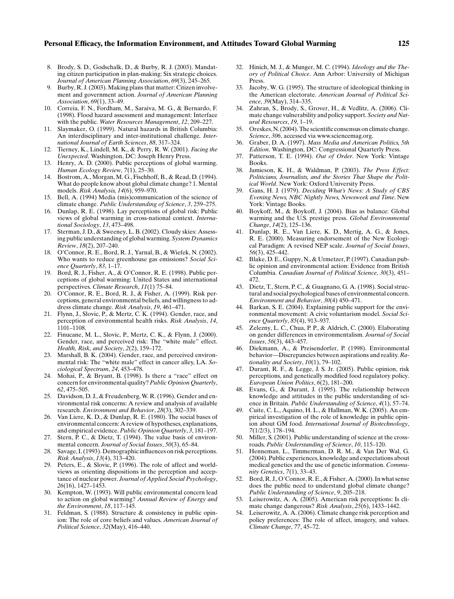#### **Personal Efficacy, the Information Environment, and Attitudes Toward Global Warming 125**

- 8. Brody, S. D., Godschalk, D., & Burby, R. J. (2003). Mandating citizen participation in plan-making: Six strategic choices. *Journal of American Planning Association*, *69*(3), 245–265.
- Burby, R. J. (2003). Making plans that matter: Citizen involvement and government action. *Journal of American Planning Association*, *69*(1), 33–49.
- 10. Correia, F. N., Fordham, M., Saraiva, M. G., & Bernardo, F. (1998). Flood hazard assessment and management: Interface with the public. *Water Resources Management*, *12*, 209–227.
- 11. Slaymaker, O. (1999). Natural hazards in British Columbia: An interdisciplinary and inter-institutional challenge. *International Journal of Earth Sciences*, *88*, 317–324.
- 12. Tierney, K., Lindell, M. K., & Perry, R. W. (2001). *Facing the Unexpected*. Washington, DC: Joseph Henry Press.
- 13. Henry, A. D. (2000). Public perceptions of global warming. *Human Ecology Review*, *7*(1), 25–30.
- 14. Bostrom, A., Morgan, M. G., Fischhoff, B., & Read, D. (1994). What do people know about global climate change? 1. Mental models. *Risk Analysis, 14*(6), 959–970.
- 15. Bell, A. (1994) Media (mis)communication of the science of climate change. *Public Understanding of Science*, *3*, 259–275.
- 16. Dunlap, R. E. (1998). Lay perceptions of global risk: Public views of global warming in cross-national context. *International Sociology*, *13*, 473–498.
- 17. Sterman, J. D., & Sweeney, L. B. (2002). Cloudy skies: Assessing public understanding of global warming. *System Dynamics Review*, *18*(2), 207–240.
- 18. O'Connor, R. E., Bord, R. J., Yarnal, B., & Wiefek, N. (2002). Who wants to reduce greenhouse gas emissions? *Social Science Quarterly*, *83*, 1–17.
- 19. Bord, R. J., Fisher, A., & O'Connor, R. E. (1998). Public perceptions of global warming: United States and international perspectives. *Climate Research*, *11*(1) 75–84.
- 20. O'Connor, R. E., Bord, R. J., & Fisher, A. (1999). Risk perceptions, general environmental beliefs, and willingness to address climate change. *Risk Analysis*, *19*, 461–471.
- 21. Flynn, J., Slovic, P., & Mertz, C. K. (1994). Gender, race, and perception of environmental health risks. *Risk Analysis*, *14*, 1101–1108.
- 22. Finucane, M. L., Slovic, P., Mertz, C. K., & Flynn, J. (2000). Gender, race, and perceived risk: The "white male" effect. *Health, Risk, and Society*, *2*(2), 159–172.
- 23. Marshall, B. K. (2004). Gender, race, and perceived environmental risk: The "white male" effect in cancer alley, LA. *Sociological Spectrum*, *24*, 453–478.
- 24. Mohai, P., & Bryant, B. (1998). Is there a "race" effect on concern for environmental quality?*Public Opinion Quarterly*, *62*, 475–505.
- 25. Davidson, D. J., & Freudenberg, W. R. (1996). Gender and environmental risk concerns: A review and analysis of available research. *Environment and Behavior*, *28*(3), 302–339.
- 26. Van Liere, K. D., & Dunlap, R. E. (1980). The social bases of environmental concern: A review of hypotheses, explanations, and empirical evidence. *Public Opinion Quarterly*, *3*, 181–197.
- 27. Stern, P. C., & Dietz, T. (1994). The value basis of environmental concern. *Journal of Social Issues*, *50*(3), 65–84.
- 28. Savage, I. (1993). Demographic influences on risk perceptions. *Risk Analysis*, *13*(4), 313–420.
- 29. Peters, E., & Slovic, P. (1996). The role of affect and worldviews as orienting dispositions in the perception and acceptance of nuclear power. *Journal of Applied Social Psychology*, *26*(16), 1427–1453.
- 30. Kempton, W. (1993). Will public environmental concern lead to action on global warming? *Annual Review of Energy and the Environment*, *18*, 117–145.
- 31. Feldman, S. (1988). Structure & consistency in public opinion: The role of core beliefs and values. *American Journal of Political Science*, *32*(May), 416–440.
- 32. Hinich, M. J., & Munger, M. C. (1994). *Ideology and the Theory of Political Choice*. Ann Arbor: University of Michigan Press.
- 33. Jacoby, W. G. (1995). The structure of ideological thinking in the American electorate. *American Journal of Political Science*, *39*(May), 314–335.
- 34. Zahran, S., Brody, S., Grover, H., & Vedlitz, A. (2006). Climate change vulnerability and policy support. *Society and Natural Resources*, *19*, 1–19.
- 35. Oreskes, N. (2004). The scientific consensus on climate change. *Science*, *306*, accessed via www.sciencemag.org.
- 36. Graber, D. A. (1997). *Mass Media and American Politics, 5th Edition*. Washington, DC: Congressional Quarterly Press.
- 37. Patterson, T. E. (1994). *Out of Order*. New York: Vintage Books.
- 38. Jamieson, K. H., & Waldman, P. (2003). *The Press Effect: Politicians, Journalists, and the Stories That Shape the Political World*. New York: Oxford University Press.
- 39. Gans, H. J. (1979). *Deciding What's News: A Study of CBS Evening News, NBC Nightly News, Newsweek and Time*. New York: Vintage Books.
- 40. Boykoff, M., & Boykoff, J. (2004). Bias as balance: Global warming and the U.S. prestige press. *Global Environmental Change*, *14*(2), 125–136.
- 41. Dunlap, R. E., Van Liere, K. D., Mertig, A. G., & Jones, R. E. (2000). Measuring endorsement of the New Ecological Paradigm: A revised NEP scale. *Journal of Social Issues*, *56*(3), 425–442.
- 42. Blake, D. E., Guppy, N., & Urmetzer, P. (1997). Canadian public opinion and environmental action: Evidence from British Columbia. *Canadian Journal of Political Science*, *30*(3), 451– 472.
- 43. Dietz, T., Stern, P. C., & Guagnano, G. A. (1998). Social structural and social psychological bases of environmental concern. *Environment and Behavior*, *30*(4) 450–471.
- 44. Barkan, S. E. (2004). Explaining public support for the environmental movement: A civic voluntarism model. *Social Science Quarterly*, *85*(4), 913–937.
- 45. Zelezny, L. C., Chua, P. P., & Aldrich, C. (2000). Elaborating on gender differences in environmentalism. *Journal of Social Issues*, *56*(3), 443–457.
- 46. Diekmann, A., & Preisendorfer, P. (1998). Environmental behavior—Discrepancies between aspirations and reality. *Rationality and Society*, *10*(1), 79–102.
- 47. Durant, R. F., & Legge, J. S. Jr. (2005). Public opinion, risk perceptions, and genetically modified food regulatory policy. *European Union Politics*, *6*(2), 181–200.
- 48. Evans, G., & Durant, J. (1995). The relationship between knowledge and attitudes in the public understanding of science in Britain. *Public Understanding of Science*, *4*(1), 57–74.
- 49. Cuite, C. L., Aquino, H. L., & Hallman, W. K. (2005). An empirical investigation of the role of knowledge in public opinion about GM food. *International Journal of Biotechnology*, *7*(1/2/3), 178–194.
- 50. Miller, S. (2001). Public understanding of science at the crossroads. *Public Understanding of Science*, *10*, 115–120.
- 51. Henneman, L., Timmerman, D. R. M., & Van Der Wal, G. (2004). Public experiences, knowledge and expectations about medical genetics and the use of genetic information. *Community Genetics*, *7*(1), 33–43.
- 52. Bord, R. J., O'Connor, R. E., & Fisher, A. (2000). In what sense does the public need to understand global climate change? *Public Understanding of Science*, *9*, 205–218.
- 53. Leiserowitz, A. A. (2005). American risk perceptions: Is climate change dangerous? *Risk Analysis*, *25*(6), 1433–1442.
- 54. Leiserowitz, A. A. (2006). Climate change risk perception and policy preferences: The role of affect, imagery, and values. *Climate Change*, *77*, 45–72.